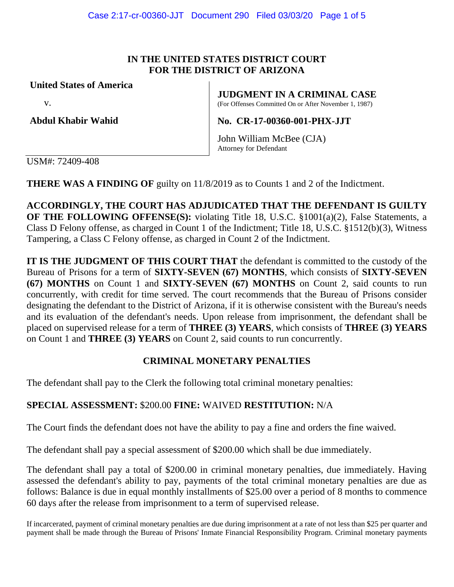### **IN THE UNITED STATES DISTRICT COURT FOR THE DISTRICT OF ARIZONA**

**United States of America**

v.

**Abdul Khabir Wahid**

**JUDGMENT IN A CRIMINAL CASE**

(For Offenses Committed On or After November 1, 1987)

**No. CR-17-00360-001-PHX-JJT**

John William McBee (CJA) Attorney for Defendant

USM#: 72409-408

**THERE WAS A FINDING OF guilty on 11/8/2019 as to Counts 1 and 2 of the Indictment.** 

**ACCORDINGLY, THE COURT HAS ADJUDICATED THAT THE DEFENDANT IS GUILTY OF THE FOLLOWING OFFENSE(S):** violating Title 18, U.S.C. §1001(a)(2), False Statements, a Class D Felony offense, as charged in Count 1 of the Indictment; Title 18, U.S.C. §1512(b)(3), Witness Tampering, a Class C Felony offense, as charged in Count 2 of the Indictment.

**IT IS THE JUDGMENT OF THIS COURT THAT** the defendant is committed to the custody of the Bureau of Prisons for a term of **SIXTY-SEVEN (67) MONTHS**, which consists of **SIXTY-SEVEN (67) MONTHS** on Count 1 and **SIXTY-SEVEN (67) MONTHS** on Count 2, said counts to run concurrently, with credit for time served. The court recommends that the Bureau of Prisons consider designating the defendant to the District of Arizona, if it is otherwise consistent with the Bureau's needs and its evaluation of the defendant's needs. Upon release from imprisonment, the defendant shall be placed on supervised release for a term of **THREE (3) YEARS**, which consists of **THREE (3) YEARS** on Count 1 and **THREE (3) YEARS** on Count 2, said counts to run concurrently.

# **CRIMINAL MONETARY PENALTIES**

The defendant shall pay to the Clerk the following total criminal monetary penalties:

## **SPECIAL ASSESSMENT:** \$200.00 **FINE:** WAIVED **RESTITUTION:** N/A

The Court finds the defendant does not have the ability to pay a fine and orders the fine waived.

The defendant shall pay a special assessment of \$200.00 which shall be due immediately.

The defendant shall pay a total of \$200.00 in criminal monetary penalties, due immediately. Having assessed the defendant's ability to pay, payments of the total criminal monetary penalties are due as follows: Balance is due in equal monthly installments of \$25.00 over a period of 8 months to commence 60 days after the release from imprisonment to a term of supervised release.

If incarcerated, payment of criminal monetary penalties are due during imprisonment at a rate of not less than \$25 per quarter and payment shall be made through the Bureau of Prisons' Inmate Financial Responsibility Program. Criminal monetary payments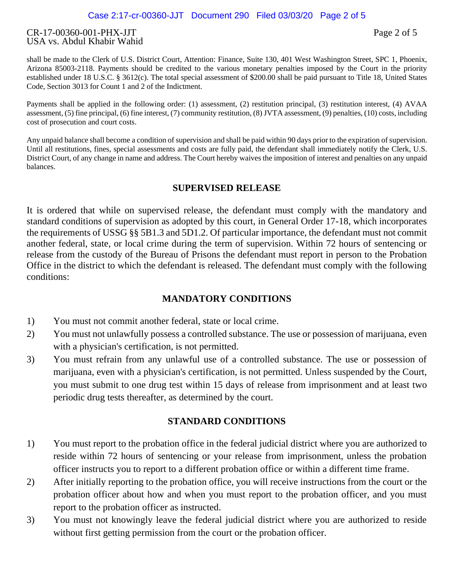#### CR-17-00360-001-PHX-JJT Page 2 of 5 USA vs. Abdul Khabir Wahid

shall be made to the Clerk of U.S. District Court, Attention: Finance, Suite 130, 401 West Washington Street, SPC 1, Phoenix, Arizona 85003-2118. Payments should be credited to the various monetary penalties imposed by the Court in the priority established under 18 U.S.C. § 3612(c). The total special assessment of \$200.00 shall be paid pursuant to Title 18, United States Code, Section 3013 for Count 1 and 2 of the Indictment.

Payments shall be applied in the following order: (1) assessment, (2) restitution principal, (3) restitution interest, (4) AVAA assessment, (5) fine principal, (6) fine interest, (7) community restitution, (8) JVTA assessment, (9) penalties, (10) costs, including cost of prosecution and court costs.

Any unpaid balance shall become a condition of supervision and shall be paid within 90 days prior to the expiration of supervision. Until all restitutions, fines, special assessments and costs are fully paid, the defendant shall immediately notify the Clerk, U.S. District Court, of any change in name and address. The Court hereby waives the imposition of interest and penalties on any unpaid balances.

### **SUPERVISED RELEASE**

It is ordered that while on supervised release, the defendant must comply with the mandatory and standard conditions of supervision as adopted by this court, in General Order 17-18, which incorporates the requirements of USSG §§ 5B1.3 and 5D1.2. Of particular importance, the defendant must not commit another federal, state, or local crime during the term of supervision. Within 72 hours of sentencing or release from the custody of the Bureau of Prisons the defendant must report in person to the Probation Office in the district to which the defendant is released. The defendant must comply with the following conditions:

### **MANDATORY CONDITIONS**

- 1) You must not commit another federal, state or local crime.
- 2) You must not unlawfully possess a controlled substance. The use or possession of marijuana, even with a physician's certification, is not permitted.
- 3) You must refrain from any unlawful use of a controlled substance. The use or possession of marijuana, even with a physician's certification, is not permitted. Unless suspended by the Court, you must submit to one drug test within 15 days of release from imprisonment and at least two periodic drug tests thereafter, as determined by the court.

## **STANDARD CONDITIONS**

- 1) You must report to the probation office in the federal judicial district where you are authorized to reside within 72 hours of sentencing or your release from imprisonment, unless the probation officer instructs you to report to a different probation office or within a different time frame.
- 2) After initially reporting to the probation office, you will receive instructions from the court or the probation officer about how and when you must report to the probation officer, and you must report to the probation officer as instructed.
- 3) You must not knowingly leave the federal judicial district where you are authorized to reside without first getting permission from the court or the probation officer.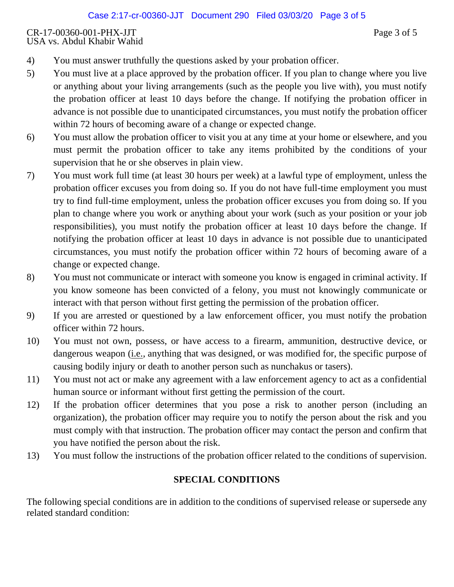### CR-17-00360-001-PHX-JJT Page 3 of 5 USA vs. Abdul Khabir Wahid

- 4) You must answer truthfully the questions asked by your probation officer.
- 5) You must live at a place approved by the probation officer. If you plan to change where you live or anything about your living arrangements (such as the people you live with), you must notify the probation officer at least 10 days before the change. If notifying the probation officer in advance is not possible due to unanticipated circumstances, you must notify the probation officer within 72 hours of becoming aware of a change or expected change.
- 6) You must allow the probation officer to visit you at any time at your home or elsewhere, and you must permit the probation officer to take any items prohibited by the conditions of your supervision that he or she observes in plain view.
- 7) You must work full time (at least 30 hours per week) at a lawful type of employment, unless the probation officer excuses you from doing so. If you do not have full-time employment you must try to find full-time employment, unless the probation officer excuses you from doing so. If you plan to change where you work or anything about your work (such as your position or your job responsibilities), you must notify the probation officer at least 10 days before the change. If notifying the probation officer at least 10 days in advance is not possible due to unanticipated circumstances, you must notify the probation officer within 72 hours of becoming aware of a change or expected change.
- 8) You must not communicate or interact with someone you know is engaged in criminal activity. If you know someone has been convicted of a felony, you must not knowingly communicate or interact with that person without first getting the permission of the probation officer.
- 9) If you are arrested or questioned by a law enforcement officer, you must notify the probation officer within 72 hours.
- 10) You must not own, possess, or have access to a firearm, ammunition, destructive device, or dangerous weapon (i.e., anything that was designed, or was modified for, the specific purpose of causing bodily injury or death to another person such as nunchakus or tasers).
- 11) You must not act or make any agreement with a law enforcement agency to act as a confidential human source or informant without first getting the permission of the court.
- 12) If the probation officer determines that you pose a risk to another person (including an organization), the probation officer may require you to notify the person about the risk and you must comply with that instruction. The probation officer may contact the person and confirm that you have notified the person about the risk.
- 13) You must follow the instructions of the probation officer related to the conditions of supervision.

## **SPECIAL CONDITIONS**

The following special conditions are in addition to the conditions of supervised release or supersede any related standard condition: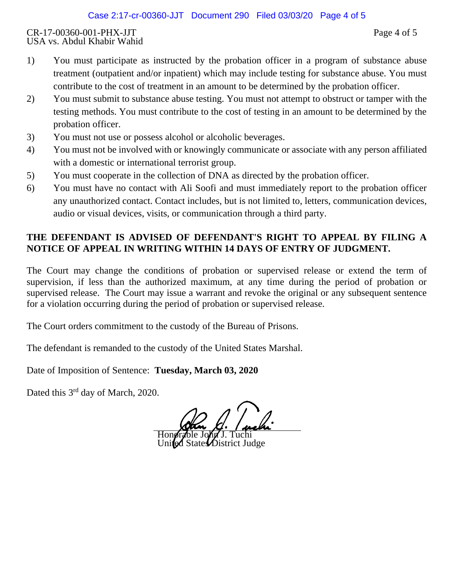#### CR-17-00360-001-PHX-JJT Page 4 of 5 USA vs. Abdul Khabir Wahid

- 1) You must participate as instructed by the probation officer in a program of substance abuse treatment (outpatient and/or inpatient) which may include testing for substance abuse. You must contribute to the cost of treatment in an amount to be determined by the probation officer.
- 2) You must submit to substance abuse testing. You must not attempt to obstruct or tamper with the testing methods. You must contribute to the cost of testing in an amount to be determined by the probation officer.
- 3) You must not use or possess alcohol or alcoholic beverages.
- 4) You must not be involved with or knowingly communicate or associate with any person affiliated with a domestic or international terrorist group.
- 5) You must cooperate in the collection of DNA as directed by the probation officer.
- 6) You must have no contact with Ali Soofi and must immediately report to the probation officer any unauthorized contact. Contact includes, but is not limited to, letters, communication devices, audio or visual devices, visits, or communication through a third party.

# **THE DEFENDANT IS ADVISED OF DEFENDANT'S RIGHT TO APPEAL BY FILING A NOTICE OF APPEAL IN WRITING WITHIN 14 DAYS OF ENTRY OF JUDGMENT.**

The Court may change the conditions of probation or supervised release or extend the term of supervision, if less than the authorized maximum, at any time during the period of probation or supervised release. The Court may issue a warrant and revoke the original or any subsequent sentence for a violation occurring during the period of probation or supervised release.

The Court orders commitment to the custody of the Bureau of Prisons.

The defendant is remanded to the custody of the United States Marshal.

Date of Imposition of Sentence: **Tuesday, March 03, 2020**

Dated this 3<sup>rd</sup> day of March, 2020.

Honorable John J. Tuchi  $\mathcal{W}$ istrict Judge